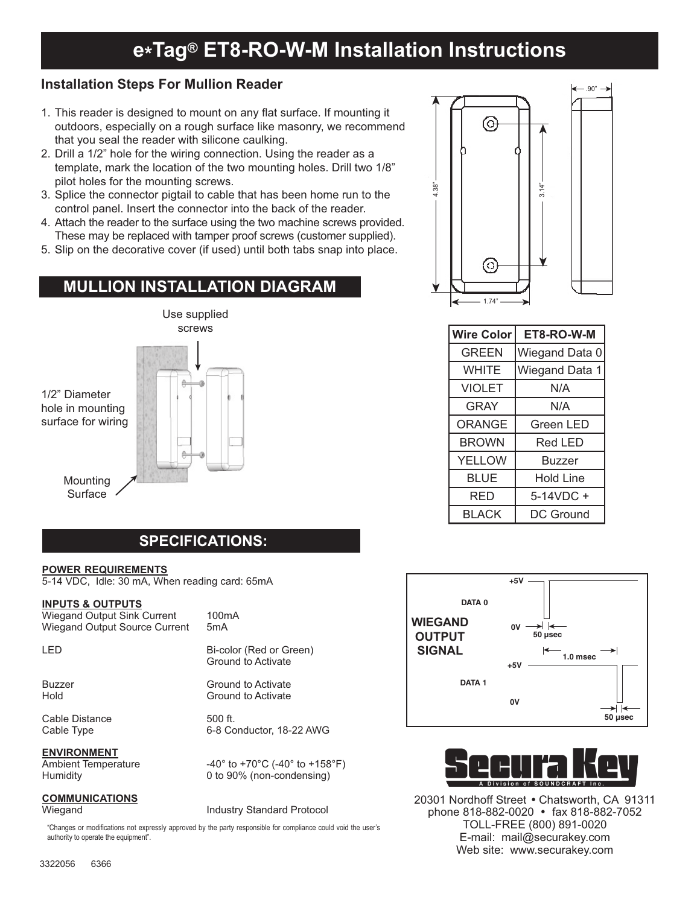# **e\*Tag® ET8-RO-W-M Installation Instructions**

### **Installation Steps For Mullion Reader**

- 1. This reader is designed to mount on any flat surface. If mounting it outdoors, especially on a rough surface like masonry, we recommend that you seal the reader with silicone caulking.
- 2. Drill a 1/2" hole for the wiring connection. Using the reader as a template, mark the location of the two mounting holes. Drill two 1/8" pilot holes for the mounting screws.
- 3. Splice the connector pigtail to cable that has been home run to the control panel. Insert the connector into the back of the reader.
- 4. Attach the reader to the surface using the two machine screws provided. These may be replaced with tamper proof screws (customer supplied).
- 5. Slip on the decorative cover (if used) until both tabs snap into place.

## **MULLION INSTALLATION DIAGRAM**



# **SPECIFICATIONS:**

### **POWER REQUIREMENTS**

5-14 VDC, Idle: 30 mA, When reading card: 65mA

#### **INPUTS & OUTPUTS**

Wiegand Output Sink Current 100mA<br>Wiegand Output Source Current 5mA Wiegand Output Source Current

LED Bi-color (Red or Green)

Buzzer Ground to Activate<br>Hold Ground to Activate

Cable Distance<br>Cable Type 6-8 Co

#### **ENVIRONMENT**

### **COMMUNICATIONS**

**Ground to Activate** 

Ground to Activate

6-8 Conductor, 18-22 AWG

Ambient Temperature  $-40^\circ$  to  $+70^\circ$ C (-40° to  $+158^\circ$ F) Humidity 0 to 90% (non-condensing)

Wiegand **Industry Standard Protocol** 

"Changes or modifications not expressly approved by the party responsible for compliance could void the user's authority to operate the equipment".



| <b>Wire Color</b> | ET8-RO-W-M       |
|-------------------|------------------|
| <b>GREEN</b>      | Wiegand Data 0   |
| <b>WHITE</b>      | Wiegand Data 1   |
| <b>VIOLET</b>     | N/A              |
| GRAY              | N/A              |
| ORANGE            | <b>Green LED</b> |
| <b>BROWN</b>      | Red LED          |
| <b>YELLOW</b>     | <b>Buzzer</b>    |
| <b>BLUE</b>       | <b>Hold Line</b> |
| RED               | 5-14VDC +        |
| <b>BLACK</b>      | DC Ground        |





20301 Nordhoff Street . Chatsworth, CA 91311 phone 818-882-0020 • fax 818-882-7052 TOLL-FREE (800) 891-0020 E-mail: mail@securakey.com Web site: www.securakey.com